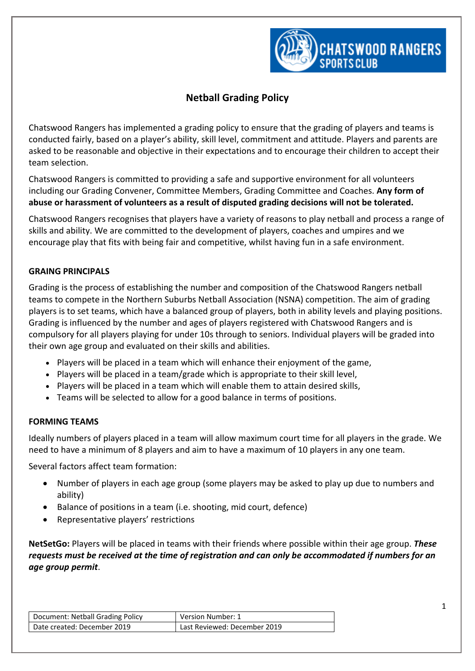

# **Netball Grading Policy**

Chatswood Rangers has implemented a grading policy to ensure that the grading of players and teams is conducted fairly, based on a player's ability, skill level, commitment and attitude. Players and parents are asked to be reasonable and objective in their expectations and to encourage their children to accept their team selection.

Chatswood Rangers is committed to providing a safe and supportive environment for all volunteers including our Grading Convener, Committee Members, Grading Committee and Coaches. **Any form of abuse or harassment of volunteers as a result of disputed grading decisions will not be tolerated.**

Chatswood Rangers recognises that players have a variety of reasons to play netball and process a range of skills and ability. We are committed to the development of players, coaches and umpires and we encourage play that fits with being fair and competitive, whilst having fun in a safe environment.

## **GRAING PRINCIPALS**

Grading is the process of establishing the number and composition of the Chatswood Rangers netball teams to compete in the Northern Suburbs Netball Association (NSNA) competition. The aim of grading players is to set teams, which have a balanced group of players, both in ability levels and playing positions. Grading is influenced by the number and ages of players registered with Chatswood Rangers and is compulsory for all players playing for under 10s through to seniors. Individual players will be graded into their own age group and evaluated on their skills and abilities.

- Players will be placed in a team which will enhance their enjoyment of the game,
- Players will be placed in a team/grade which is appropriate to their skill level,
- Players will be placed in a team which will enable them to attain desired skills,
- Teams will be selected to allow for a good balance in terms of positions.

## **FORMING TEAMS**

Ideally numbers of players placed in a team will allow maximum court time for all players in the grade. We need to have a minimum of 8 players and aim to have a maximum of 10 players in any one team.

Several factors affect team formation:

- Number of players in each age group (some players may be asked to play up due to numbers and ability)
- Balance of positions in a team (i.e. shooting, mid court, defence)
- Representative players' restrictions

**NetSetGo:** Players will be placed in teams with their friends where possible within their age group. *These requests must be received at the time of registration and can only be accommodated if numbers for an age group permit*.

| Document: Netball Grading Policy | Version Number: 1            |
|----------------------------------|------------------------------|
| Date created: December 2019      | Last Reviewed: December 2019 |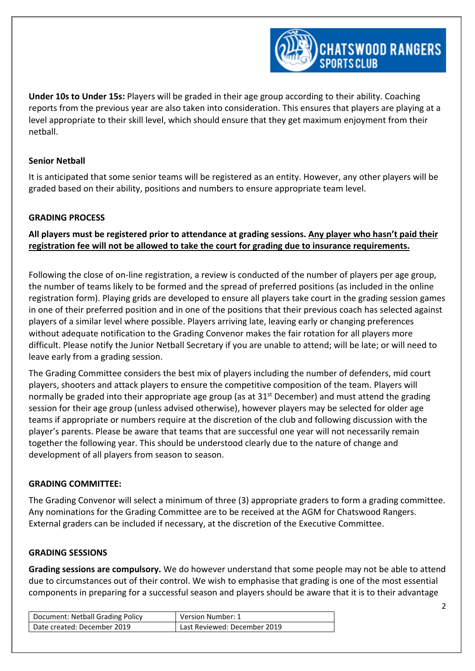

**Under 10s to Under 15s:** Players will be graded in their age group according to their ability. Coaching reports from the previous year are also taken into consideration. This ensures that players are playing at a level appropriate to their skill level, which should ensure that they get maximum enjoyment from their netball.

#### **Senior Netball**

It is anticipated that some senior teams will be registered as an entity. However, any other players will be graded based on their ability, positions and numbers to ensure appropriate team level.

#### **GRADING PROCESS**

**All players must be registered prior to attendance at grading sessions. Any player who hasn't paid their registration fee will not be allowed to take the court for grading due to insurance requirements.**

Following the close of on-line registration, a review is conducted of the number of players per age group, the number of teams likely to be formed and the spread of preferred positions (as included in the online registration form). Playing grids are developed to ensure all players take court in the grading session games in one of their preferred position and in one of the positions that their previous coach has selected against players of a similar level where possible. Players arriving late, leaving early or changing preferences without adequate notification to the Grading Convenor makes the fair rotation for all players more difficult. Please notify the Junior Netball Secretary if you are unable to attend; will be late; or will need to leave early from a grading session.

The Grading Committee considers the best mix of players including the number of defenders, mid court players, shooters and attack players to ensure the competitive composition of the team. Players will normally be graded into their appropriate age group (as at 31<sup>st</sup> December) and must attend the grading session for their age group (unless advised otherwise), however players may be selected for older age teams if appropriate or numbers require at the discretion of the club and following discussion with the player's parents. Please be aware that teams that are successful one year will not necessarily remain together the following year. This should be understood clearly due to the nature of change and development of all players from season to season.

#### **GRADING COMMITTEE:**

The Grading Convenor will select a minimum of three (3) appropriate graders to form a grading committee. Any nominations for the Grading Committee are to be received at the AGM for Chatswood Rangers. External graders can be included if necessary, at the discretion of the Executive Committee.

#### **GRADING SESSIONS**

**Grading sessions are compulsory.** We do however understand that some people may not be able to attend due to circumstances out of their control. We wish to emphasise that grading is one of the most essential components in preparing for a successful season and players should be aware that it is to their advantage

| Document: Netball Grading Policy | Version Number: 1            |
|----------------------------------|------------------------------|
| Date created: December 2019      | Last Reviewed: December 2019 |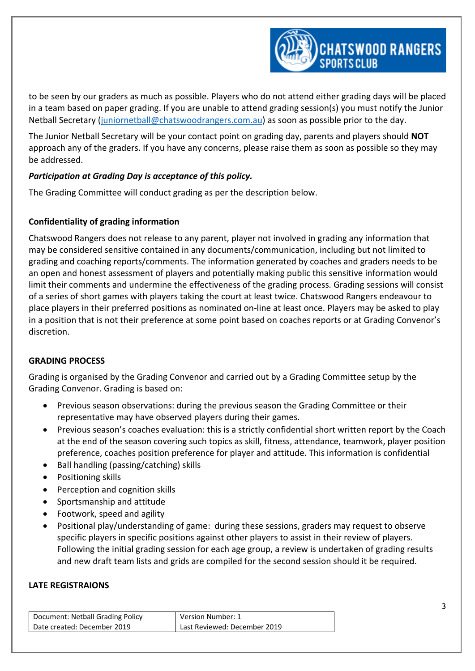

to be seen by our graders as much as possible. Players who do not attend either grading days will be placed in a team based on paper grading. If you are unable to attend grading session(s) you must notify the Junior Netball Secretary [\(juniornetball@chatswoodrangers.com.au\)](mailto:juniornetball@chatswoodrangers.com.au) as soon as possible prior to the day.

The Junior Netball Secretary will be your contact point on grading day, parents and players should **NOT** approach any of the graders. If you have any concerns, please raise them as soon as possible so they may be addressed.

## *Participation at Grading Day is acceptance of this policy.*

The Grading Committee will conduct grading as per the description below.

## **Confidentiality of grading information**

Chatswood Rangers does not release to any parent, player not involved in grading any information that may be considered sensitive contained in any documents/communication, including but not limited to grading and coaching reports/comments. The information generated by coaches and graders needs to be an open and honest assessment of players and potentially making public this sensitive information would limit their comments and undermine the effectiveness of the grading process. Grading sessions will consist of a series of short games with players taking the court at least twice. Chatswood Rangers endeavour to place players in their preferred positions as nominated on-line at least once. Players may be asked to play in a position that is not their preference at some point based on coaches reports or at Grading Convenor's discretion.

## **GRADING PROCESS**

Grading is organised by the Grading Convenor and carried out by a Grading Committee setup by the Grading Convenor. Grading is based on:

- Previous season observations: during the previous season the Grading Committee or their representative may have observed players during their games.
- Previous season's coaches evaluation: this is a strictly confidential short written report by the Coach at the end of the season covering such topics as skill, fitness, attendance, teamwork, player position preference, coaches position preference for player and attitude. This information is confidential
- Ball handling (passing/catching) skills
- Positioning skills
- Perception and cognition skills
- Sportsmanship and attitude
- Footwork, speed and agility
- Positional play/understanding of game: during these sessions, graders may request to observe specific players in specific positions against other players to assist in their review of players. Following the initial grading session for each age group, a review is undertaken of grading results and new draft team lists and grids are compiled for the second session should it be required.

#### **LATE REGISTRAIONS**

| Document: Netball Grading Policy | Version Number: 1            |
|----------------------------------|------------------------------|
| Date created: December 2019      | Last Reviewed: December 2019 |